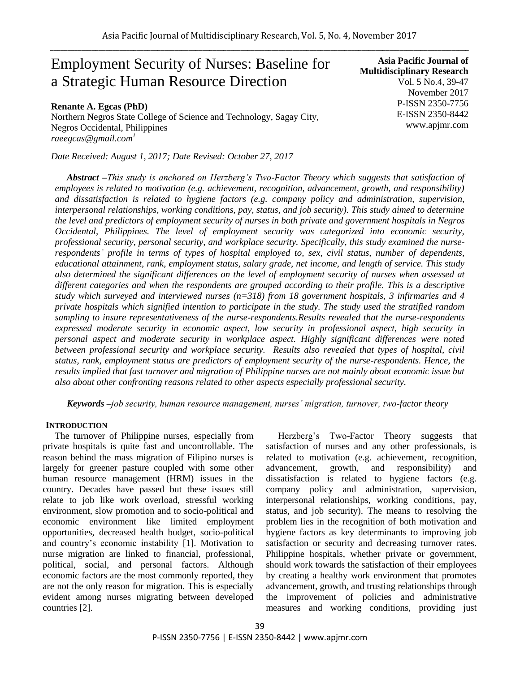# Employment Security of Nurses: Baseline for a Strategic Human Resource Direction

**Asia Pacific Journal of Multidisciplinary Research** Vol. 5 No.4, 39-47 November 2017 P-ISSN 2350-7756 E-ISSN 2350-8442 www.apjmr.com

**Renante A. Egcas (PhD)** Northern Negros State College of Science and Technology, Sagay City, Negros Occidental, Philippines *raeegcas@gmail.com<sup>1</sup>*

*Date Received: August 1, 2017; Date Revised: October 27, 2017*

*Abstract –This study is anchored on Herzberg's Two-Factor Theory which suggests that satisfaction of employees is related to motivation (e.g. achievement, recognition, advancement, growth, and responsibility) and dissatisfaction is related to hygiene factors (e.g. company policy and administration, supervision, interpersonal relationships, working conditions, pay, status, and job security). This study aimed to determine the level and predictors of employment security of nurses in both private and government hospitals in Negros Occidental, Philippines. The level of employment security was categorized into economic security, professional security, personal security, and workplace security. Specifically, this study examined the nurserespondents' profile in terms of types of hospital employed to, sex, civil status, number of dependents, educational attainment, rank, employment status, salary grade, net income, and length of service. This study also determined the significant differences on the level of employment security of nurses when assessed at different categories and when the respondents are grouped according to their profile. This is a descriptive study which surveyed and interviewed nurses (n=318) from 18 government hospitals, 3 infirmaries and 4 private hospitals which signified intention to participate in the study. The study used the stratified random sampling to insure representativeness of the nurse-respondents.Results revealed that the nurse-respondents expressed moderate security in economic aspect, low security in professional aspect, high security in personal aspect and moderate security in workplace aspect. Highly significant differences were noted between professional security and workplace security. Results also revealed that types of hospital, civil status, rank, employment status are predictors of employment security of the nurse-respondents. Hence, the results implied that fast turnover and migration of Philippine nurses are not mainly about economic issue but also about other confronting reasons related to other aspects especially professional security.* 

*Keywords –job security, human resource management, nurses' migration, turnover, two-factor theory*

## **INTRODUCTION**

The turnover of Philippine nurses, especially from private hospitals is quite fast and uncontrollable. The reason behind the mass migration of Filipino nurses is largely for greener pasture coupled with some other human resource management (HRM) issues in the country. Decades have passed but these issues still relate to job like work overload, stressful working environment, slow promotion and to socio-political and economic environment like limited employment opportunities, decreased health budget, socio-political and country's economic instability [1]. Motivation to nurse migration are linked to financial, professional, political, social, and personal factors. Although economic factors are the most commonly reported, they are not the only reason for migration. This is especially evident among nurses migrating between developed countries [2].

Herzberg's Two-Factor Theory suggests that satisfaction of nurses and any other professionals, is related to motivation (e.g. achievement, recognition, advancement, growth, and responsibility) and dissatisfaction is related to hygiene factors (e.g. company policy and administration, supervision, interpersonal relationships, working conditions, pay, status, and job security). The means to resolving the problem lies in the recognition of both motivation and hygiene factors as key determinants to improving job satisfaction or security and decreasing turnover rates. Philippine hospitals, whether private or government, should work towards the satisfaction of their employees by creating a healthy work environment that promotes advancement, growth, and trusting relationships through the improvement of policies and administrative measures and working conditions, providing just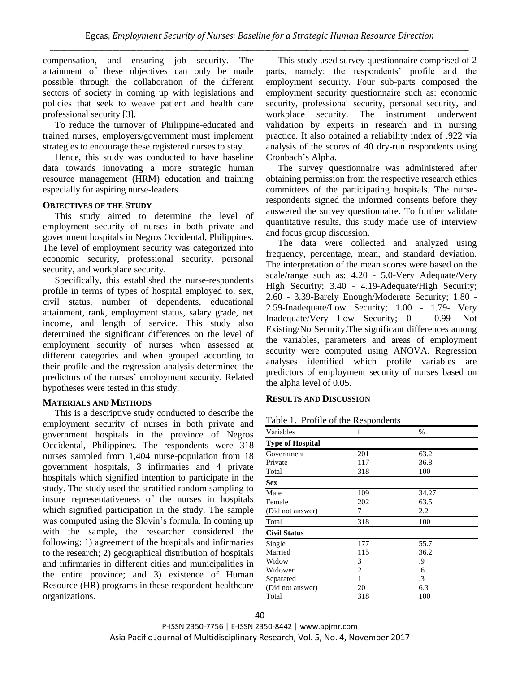compensation, and ensuring job security. The attainment of these objectives can only be made possible through the collaboration of the different sectors of society in coming up with legislations and policies that seek to weave patient and health care professional security [3].

To reduce the turnover of Philippine-educated and trained nurses, employers/government must implement strategies to encourage these registered nurses to stay.

Hence, this study was conducted to have baseline data towards innovating a more strategic human resource management (HRM) education and training especially for aspiring nurse-leaders.

## **OBJECTIVES OF THE STUDY**

This study aimed to determine the level of employment security of nurses in both private and government hospitals in Negros Occidental, Philippines. The level of employment security was categorized into economic security, professional security, personal security, and workplace security.

Specifically, this established the nurse-respondents profile in terms of types of hospital employed to, sex, civil status, number of dependents, educational attainment, rank, employment status, salary grade, net income, and length of service. This study also determined the significant differences on the level of employment security of nurses when assessed at different categories and when grouped according to their profile and the regression analysis determined the predictors of the nurses' employment security. Related hypotheses were tested in this study.

## **MATERIALS AND METHODS**

This is a descriptive study conducted to describe the employment security of nurses in both private and government hospitals in the province of Negros Occidental, Philippines. The respondents were 318 nurses sampled from 1,404 nurse-population from 18 government hospitals, 3 infirmaries and 4 private hospitals which signified intention to participate in the study. The study used the stratified random sampling to insure representativeness of the nurses in hospitals which signified participation in the study. The sample was computed using the Slovin's formula. In coming up with the sample, the researcher considered the following: 1) agreement of the hospitals and infirmaries to the research; 2) geographical distribution of hospitals and infirmaries in different cities and municipalities in the entire province; and 3) existence of Human Resource (HR) programs in these respondent-healthcare organizations.

This study used survey questionnaire comprised of 2 parts, namely: the respondents' profile and the employment security. Four sub-parts composed the employment security questionnaire such as: economic security, professional security, personal security, and workplace security. The instrument underwent validation by experts in research and in nursing practice. It also obtained a reliability index of .922 via analysis of the scores of 40 dry-run respondents using Cronbach's Alpha.

The survey questionnaire was administered after obtaining permission from the respective research ethics committees of the participating hospitals. The nurserespondents signed the informed consents before they answered the survey questionnaire. To further validate quantitative results, this study made use of interview and focus group discussion.

The data were collected and analyzed using frequency, percentage, mean, and standard deviation. The interpretation of the mean scores were based on the scale/range such as: 4.20 - 5.0-Very Adequate/Very High Security; 3.40 - 4.19-Adequate/High Security; 2.60 - 3.39-Barely Enough/Moderate Security; 1.80 - 2.59-Inadequate/Low Security; 1.00 - 1.79- Very Inadequate/Very Low Security; 0 – 0.99- Not Existing/No Security.The significant differences among the variables, parameters and areas of employment security were computed using ANOVA. Regression analyses identified which profile variables are predictors of employment security of nurses based on the alpha level of 0.05.

## **RESULTS AND DISCUSSION**

| Table 1. Profile of the Respondents |  |  |  |  |  |
|-------------------------------------|--|--|--|--|--|
|-------------------------------------|--|--|--|--|--|

| Variables               | f   | $\%$  |  |
|-------------------------|-----|-------|--|
| <b>Type of Hospital</b> |     |       |  |
| Government              | 201 | 63.2  |  |
| Private                 | 117 | 36.8  |  |
| Total                   | 318 | 100   |  |
| <b>Sex</b>              |     |       |  |
| Male                    | 109 | 34.27 |  |
| Female                  | 202 | 63.5  |  |
| (Did not answer)        | 7   | 2.2   |  |
| Total                   | 318 | 100   |  |
| <b>Civil Status</b>     |     |       |  |
| Single                  | 177 | 55.7  |  |
| Married                 | 115 | 36.2  |  |
| Widow                   | 3   | .9    |  |
| Widower                 | 2   | .6    |  |
| Separated               | 1   | .3    |  |
| (Did not answer)        | 20  | 6.3   |  |
| Total                   | 318 | 100   |  |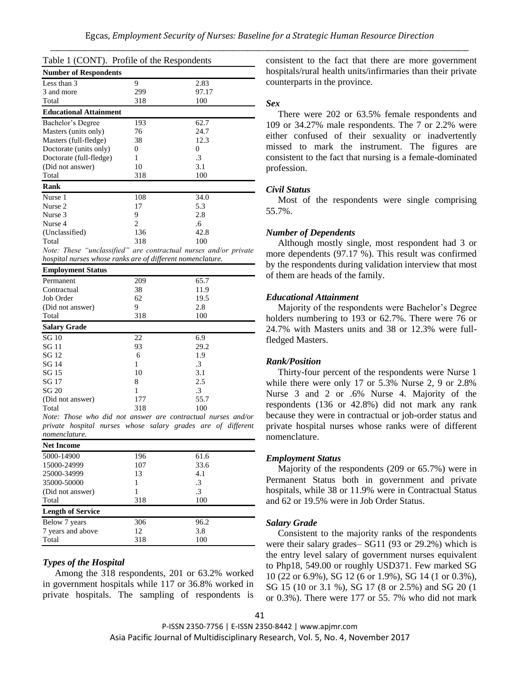| Table 1 (CONT). Profile of the Respondents                       |                |       |
|------------------------------------------------------------------|----------------|-------|
| <b>Number of Respondents</b>                                     |                |       |
| Less than 3                                                      | 9              | 2.83  |
| 3 and more                                                       | 299            | 97.17 |
| Total                                                            | 318            | 100   |
| <b>Educational Attainment</b>                                    |                |       |
| Bachelor's Degree                                                | 193            | 62.7  |
| Masters (units only)                                             | 76             | 24.7  |
| Masters (full-fledge)                                            | 38             | 12.3  |
| Doctorate (units only)                                           | 0              | 0     |
| Doctorate (full-fledge)                                          | 1              | .3    |
| (Did not answer)                                                 | 10             | 3.1   |
| Total                                                            | 318            | 100   |
| Rank                                                             |                |       |
| Nurse 1                                                          | 108            | 34.0  |
| Nurse 2                                                          | 17             | 5.3   |
| Nurse 3                                                          | 9              | 2.8   |
| Nurse 4                                                          | $\overline{c}$ | .6    |
| (Unclassified)                                                   | 136            | 42.8  |
| Total                                                            | 318            | 100   |
| Note: These "unclassified" are contractual nurses and/or private |                |       |
| hospital nurses whose ranks are of different nomenclature.       |                |       |
| <b>Employment Status</b>                                         |                |       |
| Permanent                                                        | 209            | 65.7  |
| Contractual                                                      | 38             | 11.9  |
| Job Order                                                        | 62             | 19.5  |
| (Did not answer)                                                 | 9              | 2.8   |
| Total                                                            | 318            | 100   |
| <b>Salary Grade</b>                                              |                |       |
| SG <sub>10</sub>                                                 | 22             | 6.9   |
| SG 11                                                            | 93             | 29.2  |
| SG 12                                                            | 6              | 1.9   |
| SG 14                                                            | 1              | .3    |
| SG 15                                                            | 10             | 3.1   |
| SG 17                                                            | 8              | 2.5   |
| SG 20                                                            | 1              | .3    |
| (Did not answer)                                                 | 177            | 55.7  |
| Total                                                            | 318            | 100   |
| Note: Those who did not answer are contractual nurses and/or     |                |       |
| private hospital nurses whose salary grades are of different     |                |       |
| nomenclature.                                                    |                |       |
| <b>Net Income</b>                                                |                |       |
| 5000-14900                                                       | 196            | 61.6  |

| 5000-14900               | 196 | 61.6 |  |
|--------------------------|-----|------|--|
| 15000-24999              | 107 | 33.6 |  |
| 25000-34999              | 13  | 4.1  |  |
| 35000-50000              |     | .3   |  |
| (Did not answer)         |     | .3   |  |
| Total                    | 318 | 100  |  |
| <b>Length of Service</b> |     |      |  |
| Below 7 years            | 306 | 96.2 |  |
| 7 years and above        | 12  | 3.8  |  |
| Total                    | 318 | 100  |  |
|                          |     |      |  |

## *Types of the Hospital*

Among the 318 respondents, 201 or 63.2% worked in government hospitals while 117 or 36.8% worked in private hospitals. The sampling of respondents is consistent to the fact that there are more government hospitals/rural health units/infirmaries than their private counterparts in the province.

#### *Sex*

There were 202 or 63.5% female respondents and 109 or 34.27% male respondents. The 7 or 2.2% were either confused of their sexuality or inadvertently missed to mark the instrument. The figures are consistent to the fact that nursing is a female-dominated profession.

#### *Civil Status*

Most of the respondents were single comprising 55.7%.

#### *Number of Dependents*

Although mostly single, most respondent had 3 or more dependents (97.17 %). This result was confirmed by the respondents during validation interview that most of them are heads of the family.

#### *Educational Attainment*

Majority of the respondents were Bachelor's Degree holders numbering to 193 or 62.7%. There were 76 or 24.7% with Masters units and 38 or 12.3% were fullfledged Masters.

#### *Rank/Position*

Thirty-four percent of the respondents were Nurse 1 while there were only 17 or 5.3% Nurse 2, 9 or 2.8% Nurse 3 and 2 or .6% Nurse 4. Majority of the respondents (136 or 42.8%) did not mark any rank because they were in contractual or job-order status and private hospital nurses whose ranks were of different nomenclature.

#### *Employment Status*

Majority of the respondents (209 or 65.7%) were in Permanent Status both in government and private hospitals, while 38 or 11.9% were in Contractual Status and 62 or 19.5% were in Job Order Status.

#### *Salary Grade*

Consistent to the majority ranks of the respondents were their salary grades– SG11 (93 or 29.2%) which is the entry level salary of government nurses equivalent to Php18, 549.00 or roughly USD371. Few marked SG 10 (22 or 6.9%), SG 12 (6 or 1.9%), SG 14 (1 or 0.3%), SG 15 (10 or 3.1 %), SG 17 (8 or 2.5%) and SG 20 (1 or 0.3%). There were 177 or 55. 7% who did not mark

P-ISSN 2350-7756 | E-ISSN 2350-8442 | www.apjmr.com Asia Pacific Journal of Multidisciplinary Research, Vol. 5, No. 4, November 2017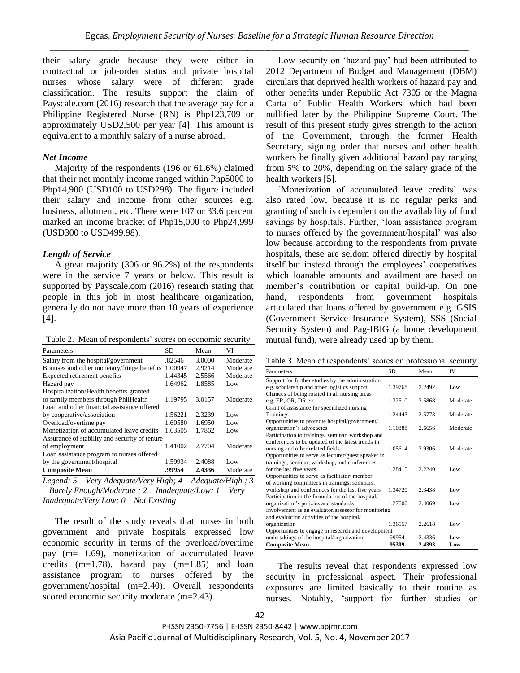their salary grade because they were either in contractual or job-order status and private hospital nurses whose salary were of different grade classification. The results support the claim of Payscale.com (2016) research that the average pay for a Philippine Registered Nurse (RN) is Php123,709 or approximately USD2,500 per year [4]. This amount is equivalent to a monthly salary of a nurse abroad.

## *Net Income*

Majority of the respondents (196 or 61.6%) claimed that their net monthly income ranged within Php5000 to Php14,900 (USD100 to USD298). The figure included their salary and income from other sources e.g. business, allotment, etc. There were 107 or 33.6 percent marked an income bracket of Php15,000 to Php24,999 (USD300 to USD499.98).

## *Length of Service*

A great majority (306 or 96.2%) of the respondents were in the service 7 years or below. This result is supported by Payscale.com (2016) research stating that people in this job in most healthcare organization, generally do not have more than 10 years of experience [4].

Table 2. Mean of respondents' scores on economic security

| Parameters                                    | SD      | Mean   | VI       |
|-----------------------------------------------|---------|--------|----------|
| Salary from the hospital/government           | .82546  | 3.0000 | Moderate |
| Bonuses and other monetary/fringe benefits    | 1.00947 | 2.9214 | Moderate |
| Expected retirement benefits                  | 1.44345 | 2.5566 | Moderate |
| Hazard pay                                    | 1.64962 | 1.8585 | Low      |
| Hospitalization/Health benefits granted       |         |        |          |
| to family members through PhilHealth          | 1.19795 | 3.0157 | Moderate |
| Loan and other financial assistance offered   |         |        |          |
| by cooperative/association                    | 1.56221 | 2.3239 | Low      |
| Overload/overtime pay                         | 1.60580 | 1.6950 | Low      |
| Monetization of accumulated leave credits     | 1.63505 | 1.7862 | Low      |
| Assurance of stability and security of tenure |         |        |          |
| of employment                                 | 1.41002 | 2.7704 | Moderate |
| Loan assistance program to nurses offered     |         |        |          |
| by the government/hospital                    | 1.59934 | 2.4088 | Low      |
| <b>Composite Mean</b>                         | .99954  | 2.4336 | Moderate |

*Legend: 5 – Very Adequate/Very High; 4 – Adequate/High ; 3 – Barely Enough/Moderate ; 2 – Inadequate/Low; 1 – Very Inadequate/Very Low; 0 – Not Existing*

The result of the study reveals that nurses in both government and private hospitals expressed low economic security in terms of the overload/overtime pay (m= 1.69), monetization of accumulated leave credits (m=1.78), hazard pay (m=1.85) and loan assistance program to nurses offered by the government/hospital (m=2.40). Overall respondents scored economic security moderate (m=2.43).

Low security on 'hazard pay' had been attributed to 2012 Department of Budget and Management (DBM) circulars that deprived health workers of hazard pay and other benefits under Republic Act 7305 or the Magna Carta of Public Health Workers which had been nullified later by the Philippine Supreme Court. The result of this present study gives strength to the action of the Government, through the former Health Secretary, signing order that nurses and other health workers be finally given additional hazard pay ranging from 5% to 20%, depending on the salary grade of the health workers [5].

'Monetization of accumulated leave credits' was also rated low, because it is no regular perks and granting of such is dependent on the availability of fund savings by hospitals. Further, 'loan assistance program to nurses offered by the government/hospital' was also low because according to the respondents from private hospitals, these are seldom offered directly by hospital itself but instead through the employees' cooperatives which loanable amounts and availment are based on member's contribution or capital build-up. On one hand, respondents from government hospitals articulated that loans offered by government e.g. GSIS (Government Service Insurance System), SSS (Social Security System) and Pag-IBIG (a home development mutual fund), were already used up by them.

| Table 3. Mean of respondents' scores on professional security |  |
|---------------------------------------------------------------|--|
|---------------------------------------------------------------|--|

| Parameters                                                               | <b>SD</b> | Mean   | IV       |
|--------------------------------------------------------------------------|-----------|--------|----------|
| Support for further studies by the administration                        |           |        |          |
| e.g. scholarship and other logistics support                             | 1.39768   | 2.2492 | Low      |
| Chances of being rotated in all nursing areas                            |           |        |          |
| e.g. ER, OR, DR etc.                                                     | 1.32510   | 2.5868 | Moderate |
| Grant of assistance for specialized nursing                              |           |        |          |
| Trainings                                                                | 1.24443   | 2.5773 | Moderate |
| Opportunities to promote hospital/government/                            |           |        |          |
| organization's advocacies                                                | 1.10888   | 2.6656 | Moderate |
| Participation to trainings, seminar, workshop and                        |           |        |          |
| conferences to be updated of the latest trends in                        |           |        |          |
| nursing and other related fields                                         | 1.05614   | 2.9306 | Moderate |
| Opportunities to serve as lecturer/guest speaker in                      |           |        |          |
| trainings, seminar, workshop, and conferences<br>for the last five years | 1.28415   | 2.2240 | Low      |
| Opportunities to serve as facilitator/member                             |           |        |          |
| of working committees in trainings, seminars,                            |           |        |          |
| workshop and conferences for the last five years                         | 1.34720   | 2.3438 | Low      |
| Participation in the formulation of the hospital/                        |           |        |          |
| organization's policies and standards                                    | 1.27600   | 2.4069 | Low      |
| Involvement as an evaluator/assessor for monitoring                      |           |        |          |
| and evaluation activities of the hospital/                               |           |        |          |
| organization                                                             | 1.36557   | 2.2618 | Low      |
| Opportunities to engage in research and development                      |           |        |          |
| undertakings of the hospital/organization                                | .99954    | 2.4336 | Low      |
| <b>Composite Mean</b>                                                    | .95309    | 2.4393 | Low      |

The results reveal that respondents expressed low security in professional aspect. Their professional exposures are limited basically to their routine as nurses. Notably, 'support for further studies or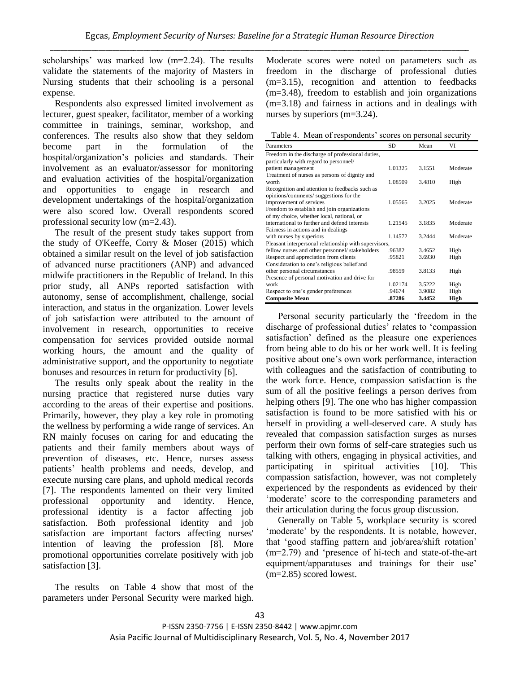scholarships' was marked low (m=2.24). The results validate the statements of the majority of Masters in Nursing students that their schooling is a personal expense.

Respondents also expressed limited involvement as lecturer, guest speaker, facilitator, member of a working committee in trainings, seminar, workshop, and conferences. The results also show that they seldom become part in the formulation of the hospital/organization's policies and standards. Their involvement as an evaluator/assessor for monitoring and evaluation activities of the hospital/organization and opportunities to engage in research and development undertakings of the hospital/organization were also scored low. Overall respondents scored professional security low (m=2.43).

The result of the present study takes support from the study of O'Keeffe, Corry & Moser (2015) which obtained a similar result on the level of job satisfaction of advanced nurse practitioners (ANP) and advanced midwife practitioners in the Republic of Ireland. In this prior study, all ANPs reported satisfaction with autonomy, sense of accomplishment, challenge, social interaction, and status in the organization. Lower levels of job satisfaction were attributed to the amount of involvement in research, opportunities to receive compensation for services provided outside normal working hours, the amount and the quality of administrative support, and the opportunity to negotiate bonuses and resources in return for productivity [6].

The results only speak about the reality in the nursing practice that registered nurse duties vary according to the areas of their expertise and positions. Primarily, however, they play a key role in promoting the wellness by performing a wide range of services. An RN mainly focuses on caring for and educating the patients and their family members about ways of prevention of diseases, etc. Hence, nurses assess patients' health problems and needs, develop, and execute nursing care plans, and uphold medical records [7]. The respondents lamented on their very limited professional opportunity and identity. Hence, professional identity is a factor affecting job satisfaction. Both professional identity and job satisfaction are important factors affecting nurses' intention of leaving the profession [8]. More promotional opportunities correlate positively with job satisfaction [3].

The results on Table 4 show that most of the parameters under Personal Security were marked high. Moderate scores were noted on parameters such as freedom in the discharge of professional duties (m=3.15), recognition and attention to feedbacks (m=3.48), freedom to establish and join organizations (m=3.18) and fairness in actions and in dealings with nurses by superiors (m=3.24).

Table 4. Mean of respondents' scores on personal security

| Parameters                                            | SD      | Mean   | VI       |
|-------------------------------------------------------|---------|--------|----------|
| Freedom in the discharge of professional duties,      |         |        |          |
| particularly with regard to personnel/                |         |        |          |
| patient management                                    | 1.01325 | 3.1551 | Moderate |
| Treatment of nurses as persons of dignity and         |         |        |          |
| worth                                                 | 1.08509 | 3.4810 | High     |
| Recognition and attention to feedbacks such as        |         |        |          |
| opinions/comments/suggestions for the                 |         |        |          |
| improvement of services                               | 1.05565 | 3.2025 | Moderate |
| Freedom to establish and join organizations           |         |        |          |
| of my choice, whether local, national, or             |         |        |          |
| international to further and defend interests         | 1.21545 | 3.1835 | Moderate |
| Fairness in actions and in dealings                   |         |        |          |
| with nurses by superiors                              | 1.14572 | 3.2444 | Moderate |
| Pleasant interpersonal relationship with supervisors, |         |        |          |
| fellow nurses and other personnel/stakeholders        | .96382  | 3.4652 | High     |
| Respect and appreciation from clients                 | .95821  | 3.6930 | High     |
| Consideration to one's religious belief and           |         |        |          |
| other personal circumstances                          | .98559  | 3.8133 | High     |
| Presence of personal motivation and drive for         |         |        |          |
| work                                                  | 1.02174 | 3.5222 | High     |
| Respect to one's gender preferences                   | .94674  | 3.9082 | High     |
| <b>Composite Mean</b>                                 | .87286  | 3.4452 | High     |

Personal security particularly the 'freedom in the discharge of professional duties' relates to 'compassion satisfaction' defined as the pleasure one experiences from being able to do his or her work well. It is feeling positive about one's own work performance, interaction with colleagues and the satisfaction of contributing to the work force. Hence, compassion satisfaction is the sum of all the positive feelings a person derives from helping others [9]. The one who has higher compassion satisfaction is found to be more satisfied with his or herself in providing a well-deserved care. A study has revealed that compassion satisfaction surges as nurses perform their own forms of self-care strategies such us talking with others, engaging in physical activities, and participating in spiritual activities [10]. This compassion satisfaction, however, was not completely experienced by the respondents as evidenced by their 'moderate' score to the corresponding parameters and their articulation during the focus group discussion.

Generally on Table 5, workplace security is scored 'moderate' by the respondents. It is notable, however, that 'good staffing pattern and job/area/shift rotation' (m=2.79) and 'presence of hi-tech and state-of-the-art equipment/apparatuses and trainings for their use' (m=2.85) scored lowest.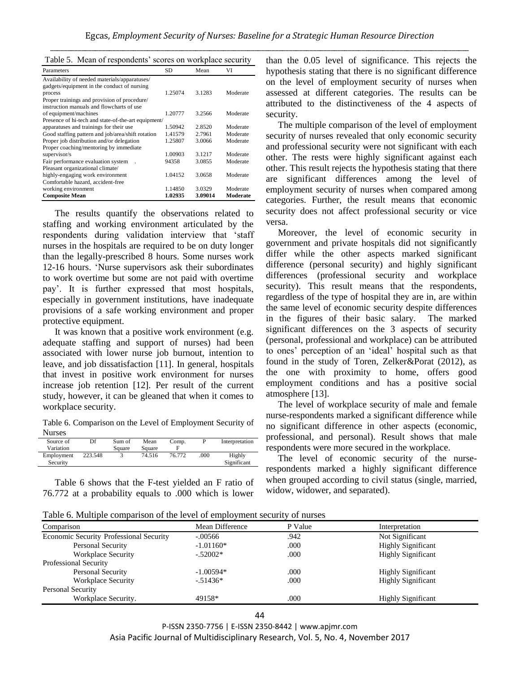|  |  |  |  |  | Table 5. Mean of respondents' scores on workplace security |
|--|--|--|--|--|------------------------------------------------------------|
|--|--|--|--|--|------------------------------------------------------------|

| Parameters                                          | <b>SD</b> | Mean    | VI       |
|-----------------------------------------------------|-----------|---------|----------|
| Availability of needed materials/apparatuses/       |           |         |          |
| gadgets/equipment in the conduct of nursing         |           |         |          |
| process                                             | 1.25074   | 3.1283  | Moderate |
| Proper trainings and provision of procedure/        |           |         |          |
| instruction manuals and flowcharts of use           |           |         |          |
| of equipment/machines                               | 1.20777   | 3.2566  | Moderate |
| Presence of hi-tech and state-of-the-art equipment/ |           |         |          |
| apparatuses and trainings for their use             | 1.50942   | 2.8520  | Moderate |
| Good staffing pattern and job/area/shift rotation   | 1.41579   | 2.7961  | Moderate |
| Proper job distribution and/or delegation           | 1.25807   | 3.0066  | Moderate |
| Proper coaching/mentoring by immediate              |           |         |          |
| supervisor/s                                        | 1.00903   | 3.1217  | Moderate |
| Fair performance evaluation system                  | 94358     | 3.0855  | Moderate |
| Pleasant organizational climate/                    |           |         |          |
| highly-engaging work environment                    | 1.04152   | 3.0658  | Moderate |
| Comfortable hazard, accident-free                   |           |         |          |
| working environment                                 | 1.14850   | 3.0329  | Moderate |
| <b>Composite Mean</b>                               | 1.02935   | 3.09014 | Moderate |

The results quantify the observations related to staffing and working environment articulated by the respondents during validation interview that 'staff nurses in the hospitals are required to be on duty longer than the legally-prescribed 8 hours. Some nurses work 12-16 hours. 'Nurse supervisors ask their subordinates to work overtime but some are not paid with overtime pay'. It is further expressed that most hospitals, especially in government institutions, have inadequate provisions of a safe working environment and proper protective equipment.

It was known that a positive work environment (e.g. adequate staffing and support of nurses) had been associated with lower nurse job burnout, intention to leave, and job dissatisfaction [11]. In general, hospitals that invest in positive work environment for nurses increase job retention [12]. Per result of the current study, however, it can be gleaned that when it comes to workplace security.

Table 6. Comparison on the Level of Employment Security of Nurses

| Source of  | Df      | Sum of | Mean   | Comp.  |      | Interpretation |
|------------|---------|--------|--------|--------|------|----------------|
| Variation  |         | Square | Square |        |      |                |
| Employment | 223.548 |        | 74.516 | 76.772 | .000 | Highly         |
| Security   |         |        |        |        |      | Significant    |

Table 6 shows that the F-test yielded an F ratio of 76.772 at a probability equals to .000 which is lower than the 0.05 level of significance. This rejects the hypothesis stating that there is no significant difference on the level of employment security of nurses when assessed at different categories. The results can be attributed to the distinctiveness of the 4 aspects of security.

The multiple comparison of the level of employment security of nurses revealed that only economic security and professional security were not significant with each other. The rests were highly significant against each other. This result rejects the hypothesis stating that there are significant differences among the level of employment security of nurses when compared among categories. Further, the result means that economic security does not affect professional security or vice versa.

Moreover, the level of economic security in government and private hospitals did not significantly differ while the other aspects marked significant difference (personal security) and highly significant differences (professional security and workplace security). This result means that the respondents, regardless of the type of hospital they are in, are within the same level of economic security despite differences in the figures of their basic salary. The marked significant differences on the 3 aspects of security (personal, professional and workplace) can be attributed to ones' perception of an 'ideal' hospital such as that found in the study of Toren, Zelker&Porat (2012), as the one with proximity to home, offers good employment conditions and has a positive social atmosphere [13].

The level of workplace security of male and female nurse-respondents marked a significant difference while no significant difference in other aspects (economic, professional, and personal). Result shows that male respondents were more secured in the workplace.

The level of economic security of the nurserespondents marked a highly significant difference when grouped according to civil status (single, married, widow, widower, and separated).

Table 6. Multiple comparison of the level of employment security of nurses

| Comparison                                     | Mean Difference | P Value | Interpretation            |
|------------------------------------------------|-----------------|---------|---------------------------|
| <b>Economic Security Professional Security</b> | $-.00566$       | .942    | Not Significant           |
| Personal Security                              | $-1.01160*$     | .000    | <b>Highly Significant</b> |
| <b>Workplace Security</b>                      | $-.52002*$      | .000    | <b>Highly Significant</b> |
| <b>Professional Security</b>                   |                 |         |                           |
| Personal Security                              | $-1.00594*$     | .000    | <b>Highly Significant</b> |
| <b>Workplace Security</b>                      | $-51436*$       | .000    | <b>Highly Significant</b> |
| Personal Security                              |                 |         |                           |
| Workplace Security.                            | 49158*          | .000    | <b>Highly Significant</b> |
|                                                |                 |         |                           |

P-ISSN 2350-7756 | E-ISSN 2350-8442 | www.apjmr.com Asia Pacific Journal of Multidisciplinary Research, Vol. 5, No. 4, November 2017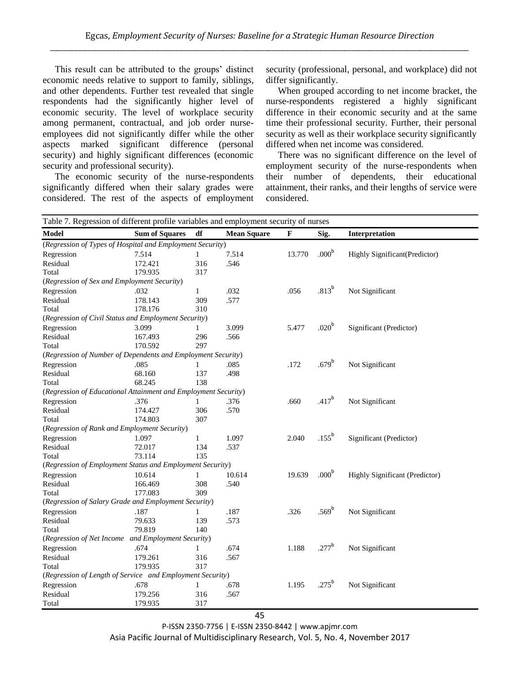This result can be attributed to the groups' distinct economic needs relative to support to family, siblings, and other dependents. Further test revealed that single respondents had the significantly higher level of economic security. The level of workplace security among permanent, contractual, and job order nurseemployees did not significantly differ while the other aspects marked significant difference (personal security) and highly significant differences (economic security and professional security).

The economic security of the nurse-respondents significantly differed when their salary grades were considered. The rest of the aspects of employment security (professional, personal, and workplace) did not differ significantly.

When grouped according to net income bracket, the nurse-respondents registered a highly significant difference in their economic security and at the same time their professional security. Further, their personal security as well as their workplace security significantly differed when net income was considered.

There was no significant difference on the level of employment security of the nurse-respondents when their number of dependents, their educational attainment, their ranks, and their lengths of service were considered.

| Table 7. Regression of different profile variables and employment security of nurses |                       |              |                    |              |                   |                                |
|--------------------------------------------------------------------------------------|-----------------------|--------------|--------------------|--------------|-------------------|--------------------------------|
| <b>Model</b>                                                                         | <b>Sum of Squares</b> | df           | <b>Mean Square</b> | $\mathbf{F}$ | Sig.              | Interpretation                 |
| (Regression of Types of Hospital and Employment Security)                            |                       |              |                    |              |                   |                                |
| Regression                                                                           | 7.514                 | 1            | 7.514              | 13.770       | .000 <sup>b</sup> | Highly Significant(Predictor)  |
| Residual                                                                             | 172.421               | 316          | .546               |              |                   |                                |
| Total                                                                                | 179.935               | 317          |                    |              |                   |                                |
| (Regression of Sex and Employment Security)                                          |                       |              |                    |              |                   |                                |
| Regression                                                                           | .032                  | $\mathbf{1}$ | .032               | .056         | .813 <sup>b</sup> | Not Significant                |
| Residual                                                                             | 178.143               | 309          | .577               |              |                   |                                |
| Total                                                                                | 178.176               | 310          |                    |              |                   |                                |
| (Regression of Civil Status and Employment Security)                                 |                       |              |                    |              |                   |                                |
| Regression                                                                           | 3.099                 | 1            | 3.099              | 5.477        | .020 <sup>b</sup> | Significant (Predictor)        |
| Residual                                                                             | 167.493               | 296          | .566               |              |                   |                                |
| Total                                                                                | 170.592               | 297          |                    |              |                   |                                |
| (Regression of Number of Dependents and Employment Security)                         |                       |              |                    |              |                   |                                |
| Regression                                                                           | .085                  | 1            | .085               | .172         | $.679^{\rm b}$    | Not Significant                |
| Residual                                                                             | 68.160                | 137          | .498               |              |                   |                                |
| Total                                                                                | 68.245                | 138          |                    |              |                   |                                |
| (Regression of Educational Attainment and Employment Security)                       |                       |              |                    |              |                   |                                |
| Regression                                                                           | .376                  | 1            | .376               | .660         | $.417^{b}$        | Not Significant                |
| Residual                                                                             | 174.427               | 306          | .570               |              |                   |                                |
| Total                                                                                | 174.803               | 307          |                    |              |                   |                                |
| (Regression of Rank and Employment Security)                                         |                       |              |                    |              |                   |                                |
| Regression                                                                           | 1.097                 | 1            | 1.097              | 2.040        | $.155^{\rm b}$    | Significant (Predictor)        |
| Residual                                                                             | 72.017                | 134          | .537               |              |                   |                                |
| Total                                                                                | 73.114                | 135          |                    |              |                   |                                |
| (Regression of Employment Status and Employment Security)                            |                       |              |                    |              |                   |                                |
| Regression                                                                           | 10.614                | 1            | 10.614             | 19.639       | .000 <sup>b</sup> | Highly Significant (Predictor) |
| Residual                                                                             | 166.469               | 308          | .540               |              |                   |                                |
| Total                                                                                | 177.083               | 309          |                    |              |                   |                                |
| (Regression of Salary Grade and Employment Security)                                 |                       |              |                    |              |                   |                                |
| Regression                                                                           | .187                  | 1            | .187               | .326         | $.569^{\rm b}$    | Not Significant                |
| Residual                                                                             | 79.633                | 139          | .573               |              |                   |                                |
| Total                                                                                | 79.819                | 140          |                    |              |                   |                                |
| (Regression of Net Income and Employment Security)                                   |                       |              |                    |              |                   |                                |
| Regression                                                                           | .674                  | 1            | .674               | 1.188        | $.277^{\rm b}$    | Not Significant                |
| Residual                                                                             | 179.261               | 316          | .567               |              |                   |                                |
| Total                                                                                | 179.935               | 317          |                    |              |                   |                                |
| (Regression of Length of Service and Employment Security)                            |                       |              |                    |              |                   |                                |
| Regression                                                                           | .678                  | 1            | .678               | 1.195        | $.275^{\rm b}$    | Not Significant                |
| Residual                                                                             | 179.256               | 316          | .567               |              |                   |                                |
| Total                                                                                | 179.935               | 317          |                    |              |                   |                                |

P-ISSN 2350-7756 | E-ISSN 2350-8442 | www.apjmr.com Asia Pacific Journal of Multidisciplinary Research, Vol. 5, No. 4, November 2017

#### 45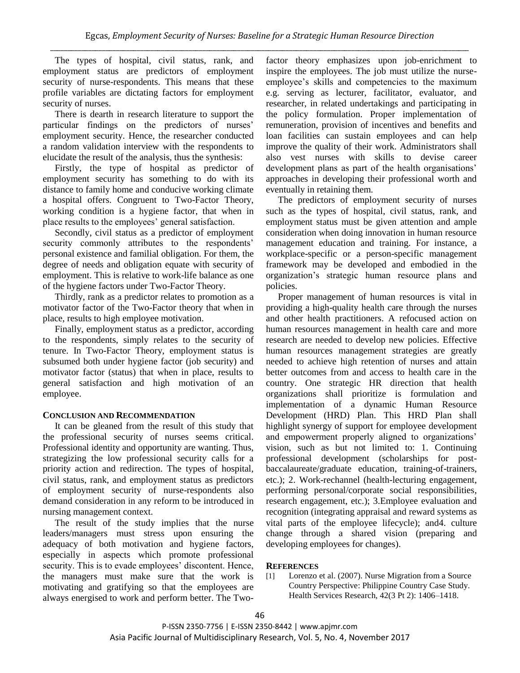The types of hospital, civil status, rank, and employment status are predictors of employment security of nurse-respondents. This means that these profile variables are dictating factors for employment security of nurses.

There is dearth in research literature to support the particular findings on the predictors of nurses' employment security. Hence, the researcher conducted a random validation interview with the respondents to elucidate the result of the analysis, thus the synthesis:

Firstly, the type of hospital as predictor of employment security has something to do with its distance to family home and conducive working climate a hospital offers. Congruent to Two-Factor Theory, working condition is a hygiene factor, that when in place results to the employees' general satisfaction.

Secondly, civil status as a predictor of employment security commonly attributes to the respondents' personal existence and familial obligation. For them, the degree of needs and obligation equate with security of employment. This is relative to work-life balance as one of the hygiene factors under Two-Factor Theory.

Thirdly, rank as a predictor relates to promotion as a motivator factor of the Two-Factor theory that when in place, results to high employee motivation.

Finally, employment status as a predictor, according to the respondents, simply relates to the security of tenure. In Two-Factor Theory, employment status is subsumed both under hygiene factor (job security) and motivator factor (status) that when in place, results to general satisfaction and high motivation of an employee.

## **CONCLUSION AND RECOMMENDATION**

It can be gleaned from the result of this study that the professional security of nurses seems critical. Professional identity and opportunity are wanting. Thus, strategizing the low professional security calls for a priority action and redirection. The types of hospital, civil status, rank, and employment status as predictors of employment security of nurse-respondents also demand consideration in any reform to be introduced in nursing management context.

The result of the study implies that the nurse leaders/managers must stress upon ensuring the adequacy of both motivation and hygiene factors, especially in aspects which promote professional security. This is to evade employees' discontent. Hence, the managers must make sure that the work is motivating and gratifying so that the employees are always energised to work and perform better. The Twofactor theory emphasizes upon job-enrichment to inspire the employees. The job must utilize the nurseemployee's skills and competencies to the maximum e.g. serving as lecturer, facilitator, evaluator, and researcher, in related undertakings and participating in the policy formulation. Proper implementation of remuneration, provision of incentives and benefits and loan facilities can sustain employees and can help improve the quality of their work. Administrators shall also vest nurses with skills to devise career development plans as part of the health organisations' approaches in developing their professional worth and eventually in retaining them.

The predictors of employment security of nurses such as the types of hospital, civil status, rank, and employment status must be given attention and ample consideration when doing innovation in human resource management education and training. For instance, a workplace-specific or a person-specific management framework may be developed and embodied in the organization's strategic human resource plans and policies.

Proper management of human resources is vital in providing a high-quality health care through the nurses and other health practitioners. A refocused action on human resources management in health care and more research are needed to develop new policies. Effective human resources management strategies are greatly needed to achieve high retention of nurses and attain better outcomes from and access to health care in the country. One strategic HR direction that health organizations shall prioritize is formulation and implementation of a dynamic Human Resource Development (HRD) Plan. This HRD Plan shall highlight synergy of support for employee development and empowerment properly aligned to organizations' vision, such as but not limited to: 1. Continuing professional development (scholarships for postbaccalaureate/graduate education, training-of-trainers, etc.); 2. Work-rechannel (health-lecturing engagement, performing personal/corporate social responsibilities, research engagement, etc.); 3.Employee evaluation and recognition (integrating appraisal and reward systems as vital parts of the employee lifecycle); and4. culture change through a shared vision (preparing and developing employees for changes).

## **REFERENCES**

[1] Lorenzo et al. (2007). Nurse Migration from a Source Country Perspective: Philippine Country Case Study. Health Services Research, 42(3 Pt 2): 1406–1418.